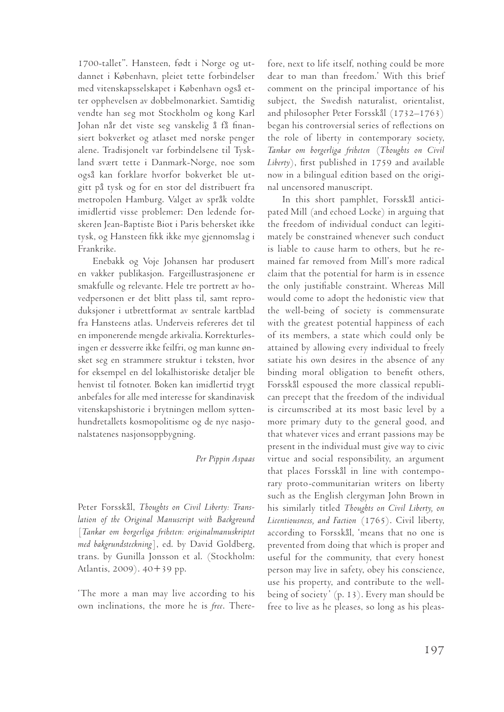1700-tallet". Hansteen, født i Norge og utdannet i København, pleiet tette forbindelser med vitenskapsselskapet i København også etter opphevelsen av dobbelmonarkiet. Samtidig vendte han seg mot Stockholm og kong Karl Johan når det viste seg vanskelig å få finansiert bokverket og atlaset med norske penger alene. Tradisjonelt var forbindelsene til Tyskland svært tette i Danmark-Norge, noe som også kan forklare hvorfor bokverket ble utgitt på tysk og for en stor del distribuert fra metropolen Hamburg. Valget av språk voldte imidlertid visse problemer: Den ledende forskeren Jean-Baptiste Biot i Paris behersket ikke tysk, og Hansteen fikk ikke mye gjennomslag i Frankrike.

Enebakk og Voje Johansen har produsert en vakker publikasjon. Fargeillustrasjonene er smakfulle og relevante. Hele tre portrett av hovedpersonen er det blitt plass til, samt reproduksjoner i utbrettformat av sentrale kartblad fra Hansteens atlas. Underveis refereres det til en imponerende mengde arkivalia. Korrekturlesingen er dessverre ikke feilfri, og man kunne ønsket seg en strammere struktur i teksten, hvor for eksempel en del lokalhistoriske detaljer ble henvist til fotnoter. Boken kan imidlertid trygt anbefales for alle med interesse for skandinavisk vitenskapshistorie i brytningen mellom syttenhundretallets kosmopolitisme og de nye nasjonalstatenes nasjonsoppbygning.

## *Per Pippin Aspaas*

Peter Forsskål, *Thoughts on Civil Liberty: Translation of the Original Manuscript with Background*  [*Tankar om borgerliga friheten: originalmanuskriptet med bakgrundsteckning*], ed. by David Goldberg, trans. by Gunilla Jonsson et al. (Stockholm: Atlantis, 2009). 40+39 pp.

'The more a man may live according to his own inclinations, the more he is *free*. Therefore, next to life itself, nothing could be more dear to man than freedom.' With this brief comment on the principal importance of his subject, the Swedish naturalist, orientalist, and philosopher Peter Forsskål (1732–1763) began his controversial series of reflections on the role of liberty in contemporary society, *Tankar om borgerliga friheten* (*Thoughts on Civil Liberty*), first published in 1759 and available now in a bilingual edition based on the original uncensored manuscript.

In this short pamphlet, Forsskål anticipated Mill (and echoed Locke) in arguing that the freedom of individual conduct can legitimately be constrained whenever such conduct is liable to cause harm to others, but he remained far removed from Mill's more radical claim that the potential for harm is in essence the only justifiable constraint. Whereas Mill would come to adopt the hedonistic view that the well-being of society is commensurate with the greatest potential happiness of each of its members, a state which could only be attained by allowing every individual to freely satiate his own desires in the absence of any binding moral obligation to benefit others, Forsskål espoused the more classical republican precept that the freedom of the individual is circumscribed at its most basic level by a more primary duty to the general good, and that whatever vices and errant passions may be present in the individual must give way to civic virtue and social responsibility, an argument that places Forsskål in line with contemporary proto-communitarian writers on liberty such as the English clergyman John Brown in his similarly titled *Thoughts on Civil Liberty, on Licentiousness, and Faction* (1765). Civil liberty, according to Forsskål, 'means that no one is prevented from doing that which is proper and useful for the community, that every honest person may live in safety, obey his conscience, use his property, and contribute to the wellbeing of society' (p. 13). Every man should be free to live as he pleases, so long as his pleas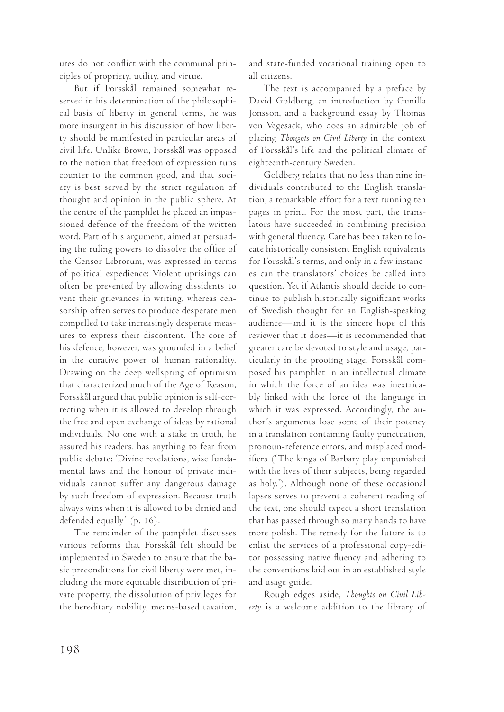ures do not conflict with the communal principles of propriety, utility, and virtue.

But if Forsskål remained somewhat reserved in his determination of the philosophical basis of liberty in general terms, he was more insurgent in his discussion of how liberty should be manifested in particular areas of civil life. Unlike Brown, Forsskål was opposed to the notion that freedom of expression runs counter to the common good, and that society is best served by the strict regulation of thought and opinion in the public sphere. At the centre of the pamphlet he placed an impassioned defence of the freedom of the written word. Part of his argument, aimed at persuading the ruling powers to dissolve the office of the Censor Librorum, was expressed in terms of political expedience: Violent uprisings can often be prevented by allowing dissidents to vent their grievances in writing, whereas censorship often serves to produce desperate men compelled to take increasingly desperate measures to express their discontent. The core of his defence, however, was grounded in a belief in the curative power of human rationality. Drawing on the deep wellspring of optimism that characterized much of the Age of Reason, Forsskål argued that public opinion is self-correcting when it is allowed to develop through the free and open exchange of ideas by rational individuals. No one with a stake in truth, he assured his readers, has anything to fear from public debate: 'Divine revelations, wise fundamental laws and the honour of private individuals cannot suffer any dangerous damage by such freedom of expression. Because truth always wins when it is allowed to be denied and defended equally' (p. 16).

The remainder of the pamphlet discusses various reforms that Forsskål felt should be implemented in Sweden to ensure that the basic preconditions for civil liberty were met, including the more equitable distribution of private property, the dissolution of privileges for the hereditary nobility, means-based taxation, and state-funded vocational training open to all citizens.

The text is accompanied by a preface by David Goldberg, an introduction by Gunilla Jonsson, and a background essay by Thomas von Vegesack, who does an admirable job of placing *Thoughts on Civil Liberty* in the context of Forsskål's life and the political climate of eighteenth-century Sweden.

Goldberg relates that no less than nine individuals contributed to the English translation, a remarkable effort for a text running ten pages in print. For the most part, the translators have succeeded in combining precision with general fluency. Care has been taken to locate historically consistent English equivalents for Forsskål's terms, and only in a few instances can the translators' choices be called into question. Yet if Atlantis should decide to continue to publish historically significant works of Swedish thought for an English-speaking audience—and it is the sincere hope of this reviewer that it does—it is recommended that greater care be devoted to style and usage, particularly in the proofing stage. Forsskål composed his pamphlet in an intellectual climate in which the force of an idea was inextricably linked with the force of the language in which it was expressed. Accordingly, the author's arguments lose some of their potency in a translation containing faulty punctuation, pronoun-reference errors, and misplaced modifiers ('The kings of Barbary play unpunished with the lives of their subjects, being regarded as holy.'). Although none of these occasional lapses serves to prevent a coherent reading of the text, one should expect a short translation that has passed through so many hands to have more polish. The remedy for the future is to enlist the services of a professional copy-editor possessing native fluency and adhering to the conventions laid out in an established style and usage guide.

Rough edges aside, *Thoughts on Civil Liberty* is a welcome addition to the library of